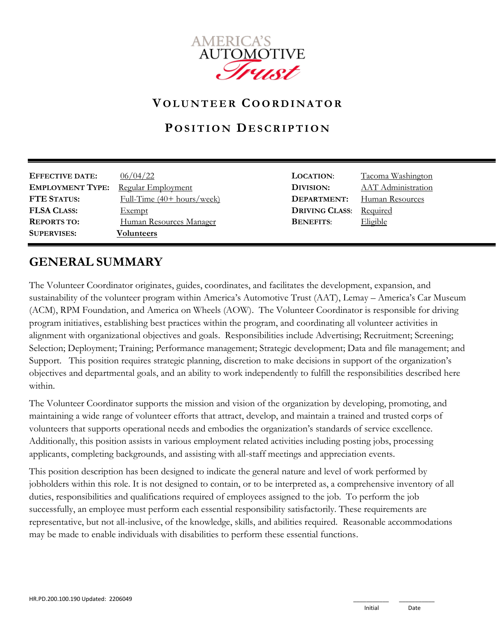

## **V O L U N T E E R CO O R D I N A T O R**

## **P O S I T I O N DE S C R I P T I O N**

| <b>EFFECTIVE DATE:</b>  | 06/04/22                                    | <b>LOCATION:</b>      | Tacoma Washington         |
|-------------------------|---------------------------------------------|-----------------------|---------------------------|
| <b>EMPLOYMENT TYPE:</b> | Regular Employment                          | DIVISION:             | <b>AAT</b> Administration |
| <b>FTE STATUS:</b>      | Full-Time $(40 + \text{hours}/\text{week})$ | DEPARTMENT:           | Human Resources           |
| <b>FLSA CLASS:</b>      | <b>Exempt</b>                               | <b>DRIVING CLASS:</b> | Required                  |
| <b>REPORTS TO:</b>      | Human Resources Manager                     | <b>BENEFITS:</b>      | Eligible                  |
| <b>SUPERVISES:</b>      | Volunteers                                  |                       |                           |

## **GENERAL SUMMARY**

The Volunteer Coordinator originates, guides, coordinates, and facilitates the development, expansion, and sustainability of the volunteer program within America's Automotive Trust (AAT), Lemay – America's Car Museum (ACM), RPM Foundation, and America on Wheels (AOW). The Volunteer Coordinator is responsible for driving program initiatives, establishing best practices within the program, and coordinating all volunteer activities in alignment with organizational objectives and goals. Responsibilities include Advertising; Recruitment; Screening; Selection; Deployment; Training; Performance management; Strategic development; Data and file management; and Support. This position requires strategic planning, discretion to make decisions in support of the organization's objectives and departmental goals, and an ability to work independently to fulfill the responsibilities described here within.

The Volunteer Coordinator supports the mission and vision of the organization by developing, promoting, and maintaining a wide range of volunteer efforts that attract, develop, and maintain a trained and trusted corps of volunteers that supports operational needs and embodies the organization's standards of service excellence. Additionally, this position assists in various employment related activities including posting jobs, processing applicants, completing backgrounds, and assisting with all-staff meetings and appreciation events.

This position description has been designed to indicate the general nature and level of work performed by jobholders within this role. It is not designed to contain, or to be interpreted as, a comprehensive inventory of all duties, responsibilities and qualifications required of employees assigned to the job. To perform the job successfully, an employee must perform each essential responsibility satisfactorily. These requirements are representative, but not all-inclusive, of the knowledge, skills, and abilities required. Reasonable accommodations may be made to enable individuals with disabilities to perform these essential functions.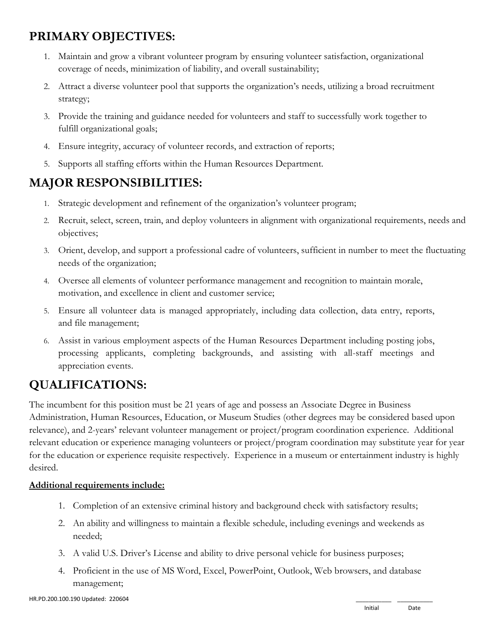# **PRIMARY OBJECTIVES:**

- 1. Maintain and grow a vibrant volunteer program by ensuring volunteer satisfaction, organizational coverage of needs, minimization of liability, and overall sustainability;
- 2. Attract a diverse volunteer pool that supports the organization's needs, utilizing a broad recruitment strategy;
- 3. Provide the training and guidance needed for volunteers and staff to successfully work together to fulfill organizational goals;
- 4. Ensure integrity, accuracy of volunteer records, and extraction of reports;
- 5. Supports all staffing efforts within the Human Resources Department.

## **MAJOR RESPONSIBILITIES:**

- 1. Strategic development and refinement of the organization's volunteer program;
- 2. Recruit, select, screen, train, and deploy volunteers in alignment with organizational requirements, needs and objectives;
- 3. Orient, develop, and support a professional cadre of volunteers, sufficient in number to meet the fluctuating needs of the organization;
- 4. Oversee all elements of volunteer performance management and recognition to maintain morale, motivation, and excellence in client and customer service;
- 5. Ensure all volunteer data is managed appropriately, including data collection, data entry, reports, and file management;
- 6. Assist in various employment aspects of the Human Resources Department including posting jobs, processing applicants, completing backgrounds, and assisting with all-staff meetings and appreciation events.

# **QUALIFICATIONS:**

The incumbent for this position must be 21 years of age and possess an Associate Degree in Business Administration, Human Resources, Education, or Museum Studies (other degrees may be considered based upon relevance), and 2-years' relevant volunteer management or project/program coordination experience. Additional relevant education or experience managing volunteers or project/program coordination may substitute year for year for the education or experience requisite respectively. Experience in a museum or entertainment industry is highly desired.

#### **Additional requirements include:**

- 1. Completion of an extensive criminal history and background check with satisfactory results;
- 2. An ability and willingness to maintain a flexible schedule, including evenings and weekends as needed;
- 3. A valid U.S. Driver's License and ability to drive personal vehicle for business purposes;
- 4. Proficient in the use of MS Word, Excel, PowerPoint, Outlook, Web browsers, and database management;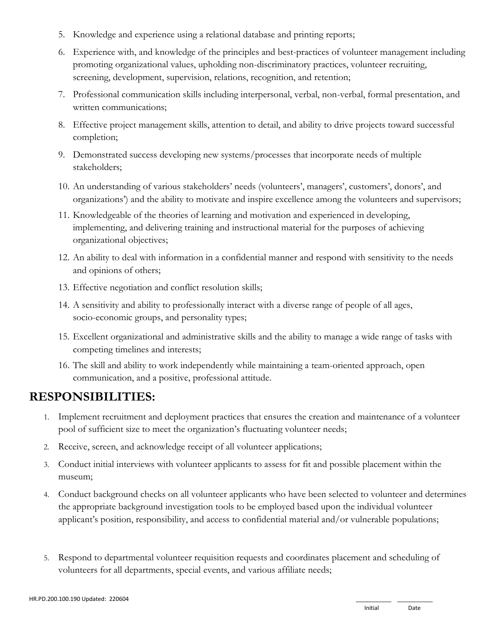- 5. Knowledge and experience using a relational database and printing reports;
- 6. Experience with, and knowledge of the principles and best-practices of volunteer management including promoting organizational values, upholding non-discriminatory practices, volunteer recruiting, screening, development, supervision, relations, recognition, and retention;
- 7. Professional communication skills including interpersonal, verbal, non-verbal, formal presentation, and written communications;
- 8. Effective project management skills, attention to detail, and ability to drive projects toward successful completion;
- 9. Demonstrated success developing new systems/processes that incorporate needs of multiple stakeholders;
- 10. An understanding of various stakeholders' needs (volunteers', managers', customers', donors', and organizations') and the ability to motivate and inspire excellence among the volunteers and supervisors;
- 11. Knowledgeable of the theories of learning and motivation and experienced in developing, implementing, and delivering training and instructional material for the purposes of achieving organizational objectives;
- 12. An ability to deal with information in a confidential manner and respond with sensitivity to the needs and opinions of others;
- 13. Effective negotiation and conflict resolution skills;
- 14. A sensitivity and ability to professionally interact with a diverse range of people of all ages, socio-economic groups, and personality types;
- 15. Excellent organizational and administrative skills and the ability to manage a wide range of tasks with competing timelines and interests;
- 16. The skill and ability to work independently while maintaining a team-oriented approach, open communication, and a positive, professional attitude.

### **RESPONSIBILITIES:**

- 1. Implement recruitment and deployment practices that ensures the creation and maintenance of a volunteer pool of sufficient size to meet the organization's fluctuating volunteer needs;
- 2. Receive, screen, and acknowledge receipt of all volunteer applications;
- 3. Conduct initial interviews with volunteer applicants to assess for fit and possible placement within the museum;
- 4. Conduct background checks on all volunteer applicants who have been selected to volunteer and determines the appropriate background investigation tools to be employed based upon the individual volunteer applicant's position, responsibility, and access to confidential material and/or vulnerable populations;
- 5. Respond to departmental volunteer requisition requests and coordinates placement and scheduling of volunteers for all departments, special events, and various affiliate needs;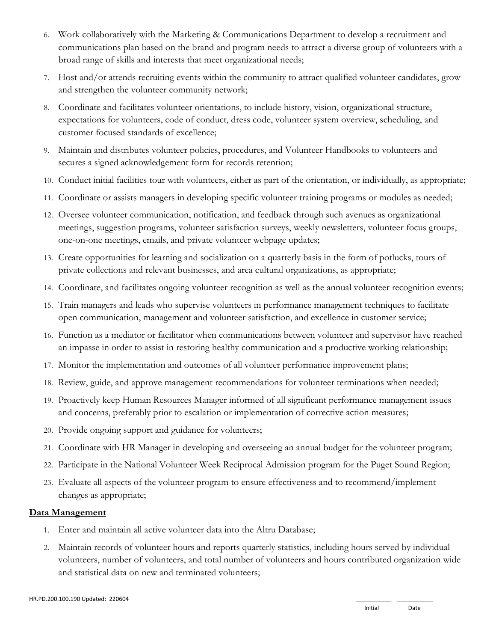- 6. Work collaboratively with the Marketing & Communications Department to develop a recruitment and communications plan based on the brand and program needs to attract a diverse group of volunteers with a broad range of skills and interests that meet organizational needs;
- 7. Host and/or attends recruiting events within the community to attract qualified volunteer candidates, grow and strengthen the volunteer community network;
- 8. Coordinate and facilitates volunteer orientations, to include history, vision, organizational structure, expectations for volunteers, code of conduct, dress code, volunteer system overview, scheduling, and customer focused standards of excellence;
- 9. Maintain and distributes volunteer policies, procedures, and Volunteer Handbooks to volunteers and secures a signed acknowledgement form for records retention;
- 10. Conduct initial facilities tour with volunteers, either as part of the orientation, or individually, as appropriate;
- 11. Coordinate or assists managers in developing specific volunteer training programs or modules as needed;
- 12. Oversee volunteer communication, notification, and feedback through such avenues as organizational meetings, suggestion programs, volunteer satisfaction surveys, weekly newsletters, volunteer focus groups, one-on-one meetings, emails, and private volunteer webpage updates;
- 13. Create opportunities for learning and socialization on a quarterly basis in the form of potlucks, tours of private collections and relevant businesses, and area cultural organizations, as appropriate;
- 14. Coordinate, and facilitates ongoing volunteer recognition as well as the annual volunteer recognition events;
- 15. Train managers and leads who supervise volunteers in performance management techniques to facilitate open communication, management and volunteer satisfaction, and excellence in customer service;
- 16. Function as a mediator or facilitator when communications between volunteer and supervisor have reached an impasse in order to assist in restoring healthy communication and a productive working relationship;
- 17. Monitor the implementation and outcomes of all volunteer performance improvement plans;
- 18. Review, guide, and approve management recommendations for volunteer terminations when needed;
- 19. Proactively keep Human Resources Manager informed of all significant performance management issues and concerns, preferably prior to escalation or implementation of corrective action measures;
- 20. Provide ongoing support and guidance for volunteers;
- 21. Coordinate with HR Manager in developing and overseeing an annual budget for the volunteer program;
- 22. Participate in the National Volunteer Week Reciprocal Admission program for the Puget Sound Region;
- 23. Evaluate all aspects of the volunteer program to ensure effectiveness and to recommend/implement changes as appropriate;

#### **Data Management**

- 1. Enter and maintain all active volunteer data into the Altru Database;
- 2. Maintain records of volunteer hours and reports quarterly statistics, including hours served by individual volunteers, number of volunteers, and total number of volunteers and hours contributed organization wide and statistical data on new and terminated volunteers;